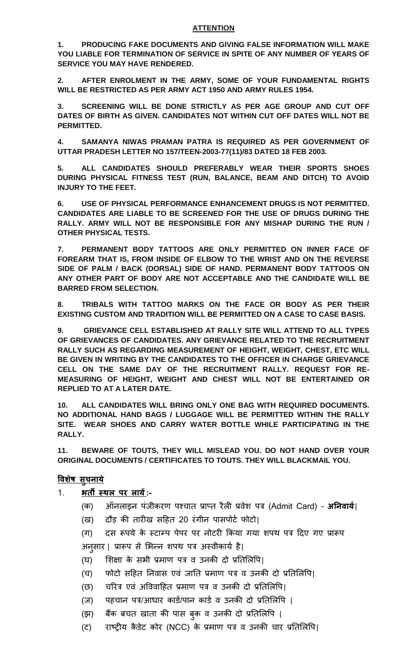## **ATTENTION**

**1. PRODUCING FAKE DOCUMENTS AND GIVING FALSE INFORMATION WILL MAKE YOU LIABLE FOR TERMINATION OF SERVICE IN SPITE OF ANY NUMBER OF YEARS OF SERVICE YOU MAY HAVE RENDERED.**

**2. AFTER ENROLMENT IN THE ARMY, SOME OF YOUR FUNDAMENTAL RIGHTS WILL BE RESTRICTED AS PER ARMY ACT 1950 AND ARMY RULES 1954.**

**3. SCREENING WILL BE DONE STRICTLY AS PER AGE GROUP AND CUT OFF DATES OF BIRTH AS GIVEN. CANDIDATES NOT WITHIN CUT OFF DATES WILL NOT BE PERMITTED.**

**4. SAMANYA NIWAS PRAMAN PATRA IS REQUIRED AS PER GOVERNMENT OF UTTAR PRADESH LETTER NO 157/TEEN-2003-77(11)/83 DATED 18 FEB 2003.**

**5. ALL CANDIDATES SHOULD PREFERABLY WEAR THEIR SPORTS SHOES DURING PHYSICAL FITNESS TEST (RUN, BALANCE, BEAM AND DITCH) TO AVOID INJURY TO THE FEET.**

**6. USE OF PHYSICAL PERFORMANCE ENHANCEMENT DRUGS IS NOT PERMITTED. CANDIDATES ARE LIABLE TO BE SCREENED FOR THE USE OF DRUGS DURING THE RALLY. ARMY WILL NOT BE RESPONSIBLE FOR ANY MISHAP DURING THE RUN / OTHER PHYSICAL TESTS.** 

**7. PERMANENT BODY TATTOOS ARE ONLY PERMITTED ON INNER FACE OF FOREARM THAT IS, FROM INSIDE OF ELBOW TO THE WRIST AND ON THE REVERSE SIDE OF PALM / BACK (DORSAL) SIDE OF HAND. PERMANENT BODY TATTOOS ON ANY OTHER PART OF BODY ARE NOT ACCEPTABLE AND THE CANDIDATE WILL BE BARRED FROM SELECTION.**

**8. TRIBALS WITH TATTOO MARKS ON THE FACE OR BODY AS PER THEIR EXISTING CUSTOM AND TRADITION WILL BE PERMITTED ON A CASE TO CASE BASIS.**

**9. GRIEVANCE CELL ESTABLISHED AT RALLY SITE WILL ATTEND TO ALL TYPES OF GRIEVANCES OF CANDIDATES. ANY GRIEVANCE RELATED TO THE RECRUITMENT RALLY SUCH AS REGARDING MEASUREMENT OF HEIGHT, WEIGHT, CHEST, ETC WILL BE GIVEN IN WRITING BY THE CANDIDATES TO THE OFFICER IN CHARGE GRIEVANCE CELL ON THE SAME DAY OF THE RECRUITMENT RALLY. REQUEST FOR RE-MEASURING OF HEIGHT, WEIGHT AND CHEST WILL NOT BE ENTERTAINED OR REPLIED TO AT A LATER DATE.**

**10. ALL CANDIDATES WILL BRING ONLY ONE BAG WITH REQUIRED DOCUMENTS. NO ADDITIONAL HAND BAGS / LUGGAGE WILL BE PERMITTED WITHIN THE RALLY SITE. WEAR SHOES AND CARRY WATER BOTTLE WHILE PARTICIPATING IN THE RALLY.**

**11. BEWARE OF TOUTS, THEY WILL MISLEAD YOU. DO NOT HAND OVER YOUR ORIGINAL DOCUMENTS / CERTIFICATES TO TOUTS. THEY WILL BLACKMAIL YOU.**

## **विशषे सुचनाये**

- 1. **भर्ती स्थल पर लायें:-**
	- (क) ऑनलाइन पंजीकरण पश्चात प्राप्त रैली प्रवेश पत्र (Admit Card) **अननिायय**|
	- (ख) दौड़ की तारीख सहित 20 रंगीन पासपोर्ट फोर्ो|
	- (ग) दस रूपये के स्र्ाम्प पेपर पर नोर्री ककया गया शपथ पत्र हदए गए प्रारूप अनुसार | प्रारूप से भिन्न शपथ पत्र अस्वीकार्य है।
	- $($ घ) शिक्षा के सभी प्रमाण पत्र व उनकी दो प्रतिलिपि।
	- (च) फोटो सहित निवास एवं जाति प्रमाण पत्र व उनकी दो प्रतिलिपि।
	- (छ) चरित्र एवं अविवाहित प्रमाण पत्र व उनकी दो प्रतिलिपि।
	- (ज) पहचान पत्र/आधार कार्ड/पान कार्ड व उनकी दो प्रतिलिपि |
	- (झ) बैंक बचत खाता की पास बुक व उनकी दो प्रतिलिपि |
	- (ट) राष्ट्रीय कैडेट कोर (NCC) के प्रमाण पत्र व उनकी चार प्रतिलिपि।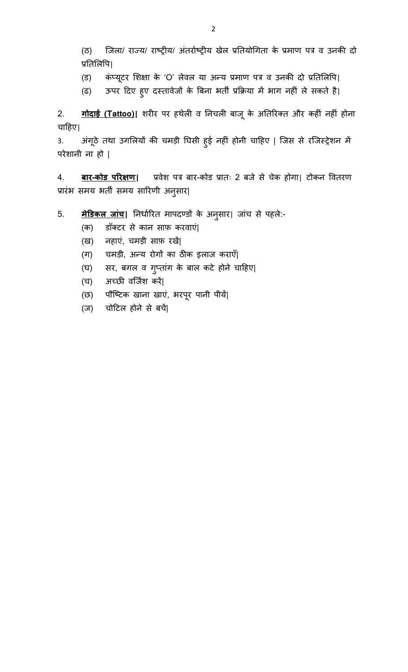(ठ) जजला/ राज्य/ राष्ट्रीय/ अंतराटष्ट्रीय खेल प्रततयोगगता के प्रमाण पत्र व उनकी दो प्रतिलिपि|

(ड) कंप्यूटर शिक्षा के 'O' लेवल या अन्य प्रमाण पत्र व उनकी दो प्रतिलिपि|

(ढ) ऊपर दिए हुए दस्तावेजों के बिना भर्ती प्रक्रिया में भाग नहीं ले सकते है।

2. **गोदाई (Tattoo)|** शरीर पर िथेली व तनचली बाजूके अततररक्त और किीं निीं िोना चाहिए|

3. अंगूठे तथा उगलियों की चमड़ी घिसी हुई नहीं होनी चाहिए | जिस से रजिस्ट्रेशन में परेशानी ना हो |

4. **बार-कोड पररक्षण|** प्रवेश पत्र बार-कोर् प्रातः 2 बजे से चेक िोगा| र्ोकन पवतरण प्रारंभ समय भर्ती समय सारिणी अनुसार|

## 5. <u>मेडिकल जांच</u>। निर्धारित मापदण्डों के अनुसार। जांच से पहले:-

- (क) र्ॉक्र्र से कान साफ़ करवाएं|
- (ख) निाएं, चमड़ी साफ़ रखें|
- (ग) चमड़ी, अन्य रोगों का ठीक इलाज कराएँ|
- (घ) सर, बगल व गुप्तांग के बाल कर्े िोने चाहिए|
- (च) अच्छी वर्जिश करें|
- (छ) पौष्टिक खाना खाएं, भरपूर पानी पीयें|
- (ज) चोहर्ल िोने से बचें|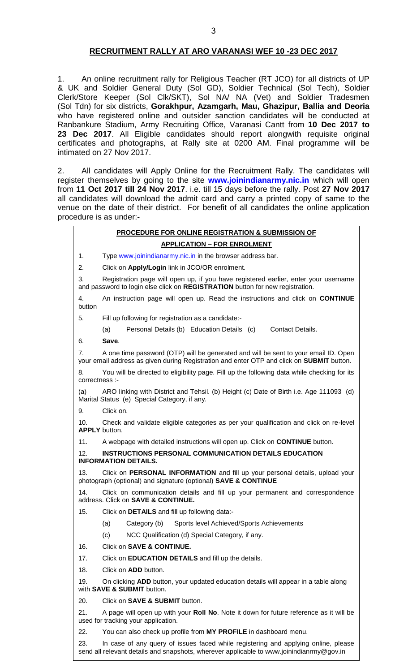### **RECRUITMENT RALLY AT ARO VARANASI WEF 10 -23 DEC 2017**

1. An online recruitment rally for Religious Teacher (RT JCO) for all districts of UP & UK and Soldier General Duty (Sol GD), Soldier Technical (Sol Tech), Soldier Clerk/Store Keeper (Sol Clk/SKT), Sol NA/ NA (Vet) and Soldier Tradesmen (Sol Tdn) for six districts, **Gorakhpur, Azamgarh, Mau, Ghazipur, Ballia and Deoria** who have registered online and outsider sanction candidates will be conducted at Ranbankure Stadium, Army Recruiting Office, Varanasi Cantt from **10 Dec 2017 to 23 Dec 2017**. All Eligible candidates should report alongwith requisite original certificates and photographs, at Rally site at 0200 AM. Final programme will be intimated on 27 Nov 2017.

2. All candidates will Apply Online for the Recruitment Rally. The candidates will register themselves by going to the site **www.joinindianarmy.nic.in** which will open from **11 Oct 2017 till 24 Nov 2017**. i.e. till 15 days before the rally. Post **27 Nov 2017**  all candidates will download the admit card and carry a printed copy of same to the venue on the date of their district. For benefit of all candidates the online application procedure is as under:-

## **PROCEDURE FOR ONLINE REGISTRATION & SUBMISSION OF APPLICATION – FOR ENROLMENT** 1. Type www.joinindianarmy.nic.in in the browser address bar. 2. Click on **Apply/Login** link in JCO/OR enrolment. 3. Registration page will open up, if you have registered earlier, enter your username and password to login else click on **REGISTRATION** button for new registration. 4. An instruction page will open up. Read the instructions and click on **CONTINUE**  button 5. Fill up following for registration as a candidate:- (a) Personal Details (b) Education Details (c) Contact Details. 6. **Save**. 7. A one time password (OTP) will be generated and will be sent to your email ID. Open your email address as given during Registration and enter OTP and click on **SUBMIT** button. 8. You will be directed to eligibility page. Fill up the following data while checking for its correctness :- (a) ARO linking with District and Tehsil. (b) Height (c) Date of Birth i.e. Age 111093 (d) Marital Status (e) Special Category, if any. 9. Click on. 10. Check and validate eligible categories as per your qualification and click on re-level **APPLY** button. 11. A webpage with detailed instructions will open up. Click on **CONTINUE** button. 12. **INSTRUCTIONS PERSONAL COMMUNICATION DETAILS EDUCATION INFORMATION DETAILS.**  13. Click on **PERSONAL INFORMATION** and fill up your personal details, upload your photograph (optional) and signature (optional) **SAVE & CONTINUE** 14. Click on communication details and fill up your permanent and correspondence address. Click on **SAVE & CONTINUE.** 15. Click on **DETAILS** and fill up following data:- (a) Category (b) Sports level Achieved/Sports Achievements (c) NCC Qualification (d) Special Category, if any. 16. Click on **SAVE & CONTINUE.** 17. Click on **EDUCATION DETAILS** and fill up the details. 18. Click on **ADD** button. 19. On clicking **ADD** button, your updated education details will appear in a table along with **SAVE & SUBMIT** button. 20. Click on **SAVE & SUBMIT** button. 21. A page will open up with your **Roll No**. Note it down for future reference as it will be used for tracking your application.

22. You can also check up profile from **MY PROFILE** in dashboard menu.

23. In case of any query of issues faced while registering and applying online, please send all relevant details and snapshots, wherever applicable to www.joinindianrmy@gov.in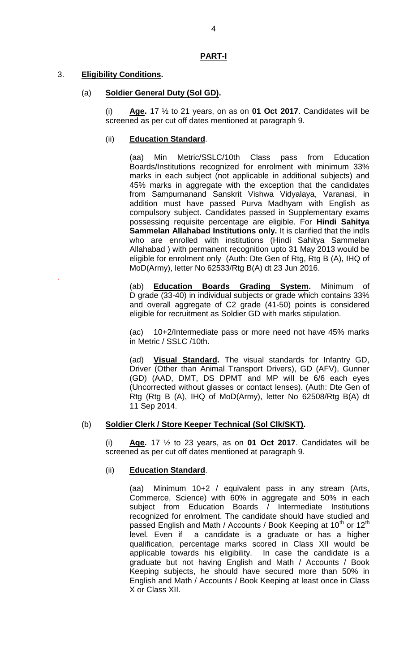#### **PART-I**

## 3. **Eligibility Conditions.**

.

#### (a) **Soldier General Duty (Sol GD).**

(i) **Age.** 17 ½ to 21 years, on as on **01 Oct 2017**. Candidates will be screened as per cut off dates mentioned at paragraph 9.

### (ii) **Education Standard**.

(aa) Min Metric/SSLC/10th Class pass from Education Boards/Institutions recognized for enrolment with minimum 33% marks in each subject (not applicable in additional subjects) and 45% marks in aggregate with the exception that the candidates from Sampurnanand Sanskrit Vishwa Vidyalaya, Varanasi, in addition must have passed Purva Madhyam with English as compulsory subject. Candidates passed in Supplementary exams possessing requisite percentage are eligible. For **Hindi Sahitya Sammelan Allahabad Institutions only.** It is clarified that the indls who are enrolled with institutions (Hindi Sahitya Sammelan Allahabad ) with permanent recognition upto 31 May 2013 would be eligible for enrolment only (Auth: Dte Gen of Rtg, Rtg B (A), IHQ of MoD(Army), letter No 62533/Rtg B(A) dt 23 Jun 2016.

(ab) **Education Boards Grading System.** Minimum of D grade (33-40) in individual subjects or grade which contains 33% and overall aggregate of C2 grade (41-50) points is considered eligible for recruitment as Soldier GD with marks stipulation.

(ac) 10+2/Intermediate pass or more need not have 45% marks in Metric / SSLC /10th.

(ad) **Visual Standard.** The visual standards for Infantry GD, Driver (Other than Animal Transport Drivers), GD (AFV), Gunner (GD) (AAD, DMT, DS DPMT and MP will be 6/6 each eyes (Uncorrected without glasses or contact lenses). (Auth: Dte Gen of Rtg (Rtg B (A), IHQ of MoD(Army), letter No 62508/Rtg B(A) dt 11 Sep 2014.

#### (b) **Soldier Clerk / Store Keeper Technical (Sol Clk/SKT).**

(i) **Age.** 17 ½ to 23 years, as on **01 Oct 2017**. Candidates will be screened as per cut off dates mentioned at paragraph 9.

## (ii) **Education Standard**.

(aa) Minimum 10+2 / equivalent pass in any stream (Arts, Commerce, Science) with 60% in aggregate and 50% in each subject from Education Boards / Intermediate Institutions recognized for enrolment. The candidate should have studied and passed English and Math / Accounts / Book Keeping at  $10^{th}$  or  $12^{th}$ level. Even if a candidate is a graduate or has a higher qualification, percentage marks scored in Class XII would be applicable towards his eligibility. In case the candidate is a graduate but not having English and Math / Accounts / Book Keeping subjects, he should have secured more than 50% in English and Math / Accounts / Book Keeping at least once in Class X or Class XII.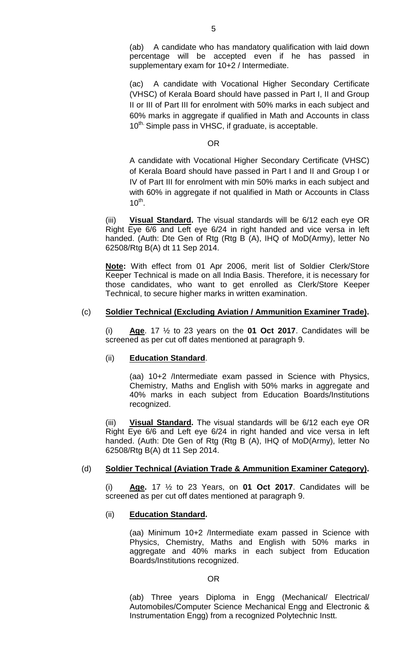(ac) A candidate with Vocational Higher Secondary Certificate (VHSC) of Kerala Board should have passed in Part I, II and Group II or III of Part III for enrolment with 50% marks in each subject and 60% marks in aggregate if qualified in Math and Accounts in class  $10^{\text{th}}$ . Simple pass in VHSC, if graduate, is acceptable.

#### OR

A candidate with Vocational Higher Secondary Certificate (VHSC) of Kerala Board should have passed in Part I and II and Group I or IV of Part III for enrolment with min 50% marks in each subject and with 60% in aggregate if not qualified in Math or Accounts in Class  $10^{\text{th}}$ .

(iii) **Visual Standard.** The visual standards will be 6/12 each eye OR Right Eye 6/6 and Left eye 6/24 in right handed and vice versa in left handed. (Auth: Dte Gen of Rtg (Rtg B (A), IHQ of MoD(Army), letter No 62508/Rtg B(A) dt 11 Sep 2014.

**Note:** With effect from 01 Apr 2006, merit list of Soldier Clerk/Store Keeper Technical is made on all India Basis. Therefore, it is necessary for those candidates, who want to get enrolled as Clerk/Store Keeper Technical, to secure higher marks in written examination.

## (c) **Soldier Technical (Excluding Aviation / Ammunition Examiner Trade).**

(i) **Age**. 17 ½ to 23 years on the **01 Oct 2017**. Candidates will be screened as per cut off dates mentioned at paragraph 9.

#### (ii) **Education Standard**.

(aa) 10+2 /Intermediate exam passed in Science with Physics, Chemistry, Maths and English with 50% marks in aggregate and 40% marks in each subject from Education Boards/Institutions recognized.

(iii) **Visual Standard.** The visual standards will be 6/12 each eye OR Right Eye 6/6 and Left eye 6/24 in right handed and vice versa in left handed. (Auth: Dte Gen of Rtg (Rtg B (A), IHQ of MoD(Army), letter No 62508/Rtg B(A) dt 11 Sep 2014.

## (d) **Soldier Technical (Aviation Trade & Ammunition Examiner Category).**

(i) **Age.** 17 ½ to 23 Years, on **01 Oct 2017**. Candidates will be screened as per cut off dates mentioned at paragraph 9.

#### (ii) **Education Standard.**

(aa) Minimum 10+2 /Intermediate exam passed in Science with Physics, Chemistry, Maths and English with 50% marks in aggregate and 40% marks in each subject from Education Boards/Institutions recognized.

#### OR

(ab) Three years Diploma in Engg (Mechanical/ Electrical/ Automobiles/Computer Science Mechanical Engg and Electronic & Instrumentation Engg) from a recognized Polytechnic Instt.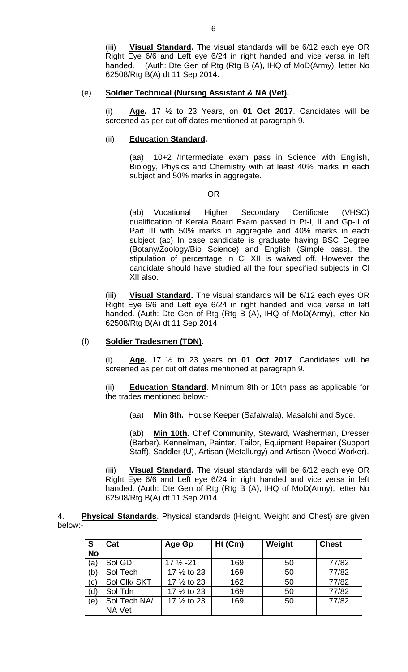(iii) **Visual Standard.** The visual standards will be 6/12 each eye OR Right Eye 6/6 and Left eye 6/24 in right handed and vice versa in left handed. (Auth: Dte Gen of Rtg (Rtg B (A), IHQ of MoD(Army), letter No 62508/Rtg B(A) dt 11 Sep 2014.

#### (e) **Soldier Technical (Nursing Assistant & NA (Vet).**

(i) **Age.** 17 ½ to 23 Years, on **01 Oct 2017**. Candidates will be screened as per cut off dates mentioned at paragraph 9.

### (ii) **Education Standard.**

(aa) 10+2 /Intermediate exam pass in Science with English, Biology, Physics and Chemistry with at least 40% marks in each subject and 50% marks in aggregate.

#### OR

(ab) Vocational Higher Secondary Certificate (VHSC) qualification of Kerala Board Exam passed in Pt-I, II and Gp-II of Part III with 50% marks in aggregate and 40% marks in each subject (ac) In case candidate is graduate having BSC Degree (Botany/Zoology/Bio Science) and English (Simple pass), the stipulation of percentage in Cl XII is waived off. However the candidate should have studied all the four specified subjects in Cl XII also.

(iii) **Visual Standard.** The visual standards will be 6/12 each eyes OR Right Eye 6/6 and Left eye 6/24 in right handed and vice versa in left handed. (Auth: Dte Gen of Rtg (Rtg B (A), IHQ of MoD(Army), letter No 62508/Rtg B(A) dt 11 Sep 2014

## (f) **Soldier Tradesmen (TDN).**

(i) **Age.** 17 ½ to 23 years on **01 Oct 2017**. Candidates will be screened as per cut off dates mentioned at paragraph 9.

**Education Standard.** Minimum 8th or 10th pass as applicable for the trades mentioned below:-

(aa) **Min 8th.** House Keeper (Safaiwala), Masalchi and Syce.

(ab) **Min 10th.** Chef Community, Steward, Washerman, Dresser (Barber), Kennelman, Painter, Tailor, Equipment Repairer (Support Staff), Saddler (U), Artisan (Metallurgy) and Artisan (Wood Worker).

(iii) **Visual Standard.** The visual standards will be 6/12 each eye OR Right Eye 6/6 and Left eye 6/24 in right handed and vice versa in left handed. (Auth: Dte Gen of Rtg (Rtg B (A), IHQ of MoD(Army), letter No 62508/Rtg B(A) dt 11 Sep 2014.

4. **Physical Standards**. Physical standards (Height, Weight and Chest) are given below:-

| S<br><b>No</b> | Cat          | Age Gp                 | $Ht$ (Cm) | Weight | <b>Chest</b> |
|----------------|--------------|------------------------|-----------|--------|--------------|
| (a)            | Sol GD       | $17\frac{1}{2}$ -21    | 169       | 50     | 77/82        |
| (b)            | Sol Tech     | 17 1/2 to 23           | 169       | 50     | 77/82        |
| (c)            | Sol Clk/ SKT | 17 $\frac{1}{2}$ to 23 | 162       | 50     | 77/82        |
| (d)            | Sol Tdn      | 17 1/2 to 23           | 169       | 50     | 77/82        |
| (e)            | Sol Tech NA/ | 17 1/2 to 23           | 169       | 50     | 77/82        |
|                | NA Vet       |                        |           |        |              |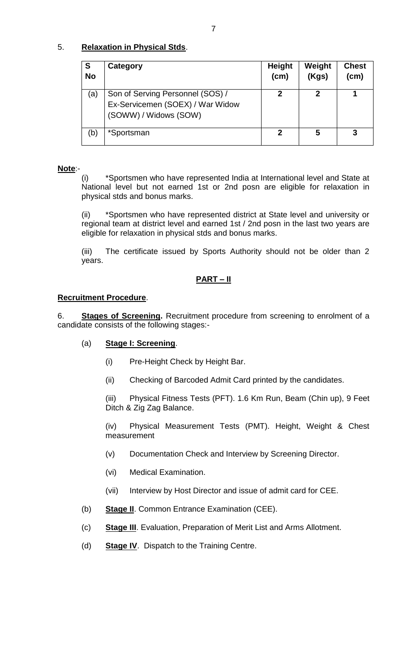## 5. **Relaxation in Physical Stds**.

| S<br><b>No</b> | Category                                                                                      | <b>Height</b><br>(cm) | Weight<br>(Kgs) | <b>Chest</b><br>(cm) |
|----------------|-----------------------------------------------------------------------------------------------|-----------------------|-----------------|----------------------|
| (a)            | Son of Serving Personnel (SOS) /<br>Ex-Servicemen (SOEX) / War Widow<br>(SOWW) / Widows (SOW) | 2                     | 2               |                      |
| (b)            | *Sportsman                                                                                    | 2                     | 5               | 3                    |

## **Note**:-

(i) \*Sportsmen who have represented India at International level and State at National level but not earned 1st or 2nd posn are eligible for relaxation in physical stds and bonus marks.

(ii) \*Sportsmen who have represented district at State level and university or regional team at district level and earned 1st / 2nd posn in the last two years are eligible for relaxation in physical stds and bonus marks.

(iii) The certificate issued by Sports Authority should not be older than 2 years.

## **PART – II**

## **Recruitment Procedure**.

6. **Stages of Screening.** Recruitment procedure from screening to enrolment of a candidate consists of the following stages:-

## (a) **Stage I: Screening**.

- (i) Pre-Height Check by Height Bar.
- (ii) Checking of Barcoded Admit Card printed by the candidates.

(iii) Physical Fitness Tests (PFT). 1.6 Km Run, Beam (Chin up), 9 Feet Ditch & Zig Zag Balance.

(iv) Physical Measurement Tests (PMT). Height, Weight & Chest measurement

- (v) Documentation Check and Interview by Screening Director.
- (vi) Medical Examination.
- (vii) Interview by Host Director and issue of admit card for CEE.
- (b) **Stage II**. Common Entrance Examination (CEE).
- (c) **Stage III**. Evaluation, Preparation of Merit List and Arms Allotment.
- (d) **Stage IV**. Dispatch to the Training Centre.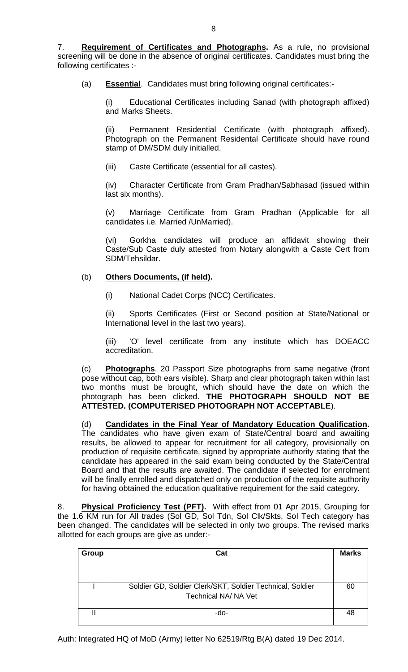(a) **Essential**. Candidates must bring following original certificates:-

(i) Educational Certificates including Sanad (with photograph affixed) and Marks Sheets.

(ii) Permanent Residential Certificate (with photograph affixed). Photograph on the Permanent Residental Certificate should have round stamp of DM/SDM duly initialled.

(iii) Caste Certificate (essential for all castes).

(iv) Character Certificate from Gram Pradhan/Sabhasad (issued within last six months).

(v) Marriage Certificate from Gram Pradhan (Applicable for all candidates i.e. Married /UnMarried).

(vi) Gorkha candidates will produce an affidavit showing their Caste/Sub Caste duly attested from Notary alongwith a Caste Cert from SDM/Tehsildar.

## (b) **Others Documents, (if held).**

(i) National Cadet Corps (NCC) Certificates.

(ii) Sports Certificates (First or Second position at State/National or International level in the last two years).

(iii) 'O' level certificate from any institute which has DOEACC accreditation.

(c) **Photographs**. 20 Passport Size photographs from same negative (front pose without cap, both ears visible). Sharp and clear photograph taken within last two months must be brought, which should have the date on which the photograph has been clicked. **THE PHOTOGRAPH SHOULD NOT BE ATTESTED. (COMPUTERISED PHOTOGRAPH NOT ACCEPTABLE**).

(d) **Candidates in the Final Year of Mandatory Education Qualification.**  The candidates who have given exam of State/Central board and awaiting results, be allowed to appear for recruitment for all category, provisionally on production of requisite certificate, signed by appropriate authority stating that the candidate has appeared in the said exam being conducted by the State/Central Board and that the results are awaited. The candidate if selected for enrolment will be finally enrolled and dispatched only on production of the requisite authority for having obtained the education qualitative requirement for the said category.

8. **Physical Proficiency Test (PFT).** With effect from 01 Apr 2015, Grouping for the 1.6 KM run for All trades (Sol GD, Sol Tdn, Sol Clk/Skts, Sol Tech category has been changed. The candidates will be selected in only two groups. The revised marks allotted for each groups are give as under:-

| Group | Cat                                                                               | <b>Marks</b> |
|-------|-----------------------------------------------------------------------------------|--------------|
|       | Soldier GD, Soldier Clerk/SKT, Soldier Technical, Soldier<br>Technical NA/ NA Vet | 60           |
|       | -do-                                                                              | 48           |

Auth: Integrated HQ of MoD (Army) letter No 62519/Rtg B(A) dated 19 Dec 2014.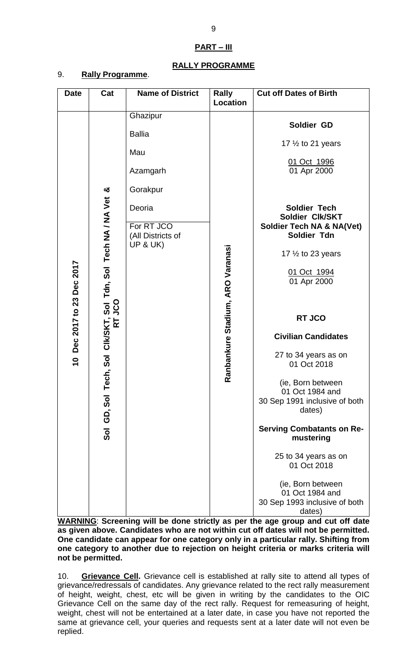## **RALLY PROGRAMME**

## 9. **Rally Programme**.

**WARNING**: **Screening will be done strictly as per the age group and cut off date as given above. Candidates who are not within cut off dates will not be permitted. One candidate can appear for one category only in a particular rally. Shifting from one category to another due to rejection on height criteria or marks criteria will not be permitted.**

10. **Grievance Cell.** Grievance cell is established at rally site to attend all types of grievance/redressals of candidates. Any grievance related to the rect rally measurement of height, weight, chest, etc will be given in writing by the candidates to the OIC Grievance Cell on the same day of the rect rally. Request for remeasuring of height, weight, chest will not be entertained at a later date, in case you have not reported the same at grievance cell, your queries and requests sent at a later date will not even be replied.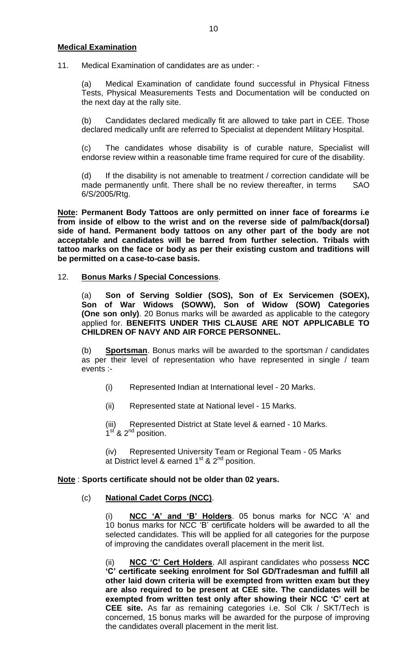#### **Medical Examination**

11. Medical Examination of candidates are as under: -

(a) Medical Examination of candidate found successful in Physical Fitness Tests, Physical Measurements Tests and Documentation will be conducted on the next day at the rally site.

(b) Candidates declared medically fit are allowed to take part in CEE. Those declared medically unfit are referred to Specialist at dependent Military Hospital.

(c) The candidates whose disability is of curable nature, Specialist will endorse review within a reasonable time frame required for cure of the disability.

(d) If the disability is not amenable to treatment / correction candidate will be made permanently unfit. There shall be no review thereafter, in terms SAO 6/S/2005/Rtg.

**Note: Permanent Body Tattoos are only permitted on inner face of forearms i.e from inside of elbow to the wrist and on the reverse side of palm/back(dorsal) side of hand. Permanent body tattoos on any other part of the body are not acceptable and candidates will be barred from further selection. Tribals with tattoo marks on the face or body as per their existing custom and traditions will be permitted on a case-to-case basis.**

### 12. **Bonus Marks / Special Concessions**.

(a) **Son of Serving Soldier (SOS), Son of Ex Servicemen (SOEX), Son of War Widows (SOWW), Son of Widow (SOW) Categories (One son only)**. 20 Bonus marks will be awarded as applicable to the category applied for. **BENEFITS UNDER THIS CLAUSE ARE NOT APPLICABLE TO CHILDREN OF NAVY AND AIR FORCE PERSONNEL.**

(b) **Sportsman**. Bonus marks will be awarded to the sportsman / candidates as per their level of representation who have represented in single / team events :-

- (i) Represented Indian at International level 20 Marks.
- (ii) Represented state at National level 15 Marks.

(iii) Represented District at State level & earned - 10 Marks.  $1<sup>st</sup>$  & 2<sup>nd</sup> position.

(iv) Represented University Team or Regional Team - 05 Marks at District level & earned 1<sup>st</sup> & 2<sup>nd</sup> position.

## **Note** : **Sports certificate should not be older than 02 years.**

#### (c) **National Cadet Corps (NCC)**.

(i) **NCC 'A' and 'B' Holders**. 05 bonus marks for NCC 'A' and 10 bonus marks for NCC 'B' certificate holders will be awarded to all the selected candidates. This will be applied for all categories for the purpose of improving the candidates overall placement in the merit list.

(ii) **NCC 'C' Cert Holders**. All aspirant candidates who possess **NCC 'C' certificate seeking enrolment for Sol GD/Tradesman and fulfill all other laid down criteria will be exempted from written exam but they are also required to be present at CEE site. The candidates will be exempted from written test only after showing their NCC 'C' cert at CEE site.** As far as remaining categories i.e. Sol Clk / SKT/Tech is concerned, 15 bonus marks will be awarded for the purpose of improving the candidates overall placement in the merit list.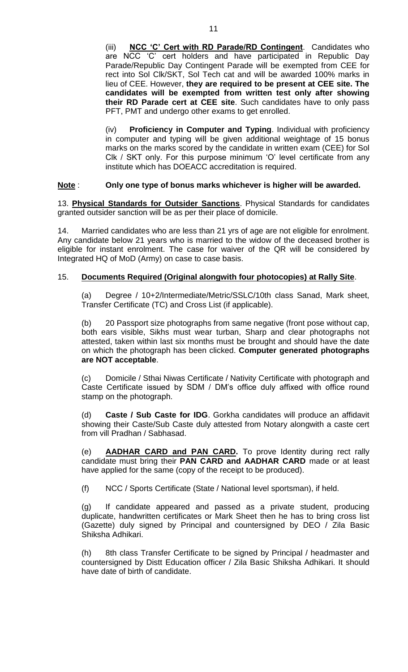(iii) **NCC 'C' Cert with RD Parade/RD Contingent**.Candidates who are NCC 'C' cert holders and have participated in Republic Day Parade/Republic Day Contingent Parade will be exempted from CEE for rect into Sol Clk/SKT, Sol Tech cat and will be awarded 100% marks in lieu of CEE. However, **they are required to be present at CEE site. The candidates will be exempted from written test only after showing their RD Parade cert at CEE site**. Such candidates have to only pass PFT, PMT and undergo other exams to get enrolled.

(iv) **Proficiency in Computer and Typing**. Individual with proficiency in computer and typing will be given additional weightage of 15 bonus marks on the marks scored by the candidate in written exam (CEE) for Sol Clk / SKT only. For this purpose minimum 'O' level certificate from any institute which has DOEACC accreditation is required.

## **Note** : **Only one type of bonus marks whichever is higher will be awarded.**

13. **Physical Standards for Outsider Sanctions**. Physical Standards for candidates granted outsider sanction will be as per their place of domicile.

14. Married candidates who are less than 21 yrs of age are not eligible for enrolment. Any candidate below 21 years who is married to the widow of the deceased brother is eligible for instant enrolment. The case for waiver of the QR will be considered by Integrated HQ of MoD (Army) on case to case basis.

#### 15. **Documents Required (Original alongwith four photocopies) at Rally Site**.

(a) Degree / 10+2/Intermediate/Metric/SSLC/10th class Sanad, Mark sheet, Transfer Certificate (TC) and Cross List (if applicable).

(b) 20 Passport size photographs from same negative (front pose without cap, both ears visible, Sikhs must wear turban, Sharp and clear photographs not attested, taken within last six months must be brought and should have the date on which the photograph has been clicked. **Computer generated photographs are NOT acceptable**.

(c) Domicile / Sthai Niwas Certificate / Nativity Certificate with photograph and Caste Certificate issued by SDM / DM's office duly affixed with office round stamp on the photograph.

(d) **Caste / Sub Caste for IDG**. Gorkha candidates will produce an affidavit showing their Caste/Sub Caste duly attested from Notary alongwith a caste cert from vill Pradhan / Sabhasad.

(e) **AADHAR CARD and PAN CARD.** To prove Identity during rect rally candidate must bring their **PAN CARD and AADHAR CARD** made or at least have applied for the same (copy of the receipt to be produced).

(f) NCC / Sports Certificate (State / National level sportsman), if held.

(g) If candidate appeared and passed as a private student, producing duplicate, handwritten certificates or Mark Sheet then he has to bring cross list (Gazette) duly signed by Principal and countersigned by DEO / Zila Basic Shiksha Adhikari.

(h) 8th class Transfer Certificate to be signed by Principal / headmaster and countersigned by Distt Education officer / Zila Basic Shiksha Adhikari. It should have date of birth of candidate.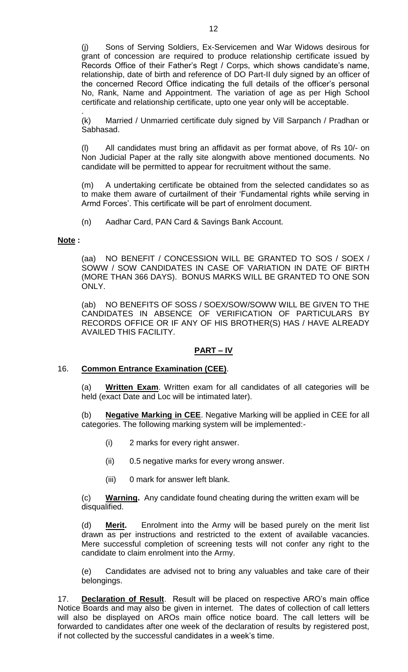(j) Sons of Serving Soldiers, Ex-Servicemen and War Widows desirous for grant of concession are required to produce relationship certificate issued by Records Office of their Father's Regt / Corps, which shows candidate's name, relationship, date of birth and reference of DO Part-II duly signed by an officer of the concerned Record Office indicating the full details of the officer's personal No, Rank, Name and Appointment. The variation of age as per High School certificate and relationship certificate, upto one year only will be acceptable.

. (k) Married / Unmarried certificate duly signed by Vill Sarpanch / Pradhan or Sabhasad.

(l) All candidates must bring an affidavit as per format above, of Rs 10/- on Non Judicial Paper at the rally site alongwith above mentioned documents. No candidate will be permitted to appear for recruitment without the same.

(m) A undertaking certificate be obtained from the selected candidates so as to make them aware of curtailment of their 'Fundamental rights while serving in Armd Forces'. This certificate will be part of enrolment document.

(n) Aadhar Card, PAN Card & Savings Bank Account.

## **Note :**

(aa) NO BENEFIT / CONCESSION WILL BE GRANTED TO SOS / SOEX / SOWW / SOW CANDIDATES IN CASE OF VARIATION IN DATE OF BIRTH (MORE THAN 366 DAYS). BONUS MARKS WILL BE GRANTED TO ONE SON ONLY.

(ab) NO BENEFITS OF SOSS / SOEX/SOW/SOWW WILL BE GIVEN TO THE CANDIDATES IN ABSENCE OF VERIFICATION OF PARTICULARS BY RECORDS OFFICE OR IF ANY OF HIS BROTHER(S) HAS / HAVE ALREADY AVAILED THIS FACILITY.

## **PART – IV**

## 16. **Common Entrance Examination (CEE)**.

(a) **Written Exam**. Written exam for all candidates of all categories will be held (exact Date and Loc will be intimated later).

(b) **Negative Marking in CEE**. Negative Marking will be applied in CEE for all categories. The following marking system will be implemented:-

- (i) 2 marks for every right answer.
- (ii) 0.5 negative marks for every wrong answer.
- (iii) 0 mark for answer left blank.

(c) **Warning.** Any candidate found cheating during the written exam will be disqualified.

(d) **Merit.** Enrolment into the Army will be based purely on the merit list drawn as per instructions and restricted to the extent of available vacancies. Mere successful completion of screening tests will not confer any right to the candidate to claim enrolment into the Army.

(e) Candidates are advised not to bring any valuables and take care of their belongings.

17. **Declaration of Result**. Result will be placed on respective ARO's main office Notice Boards and may also be given in internet. The dates of collection of call letters will also be displayed on AROs main office notice board. The call letters will be forwarded to candidates after one week of the declaration of results by registered post, if not collected by the successful candidates in a week's time.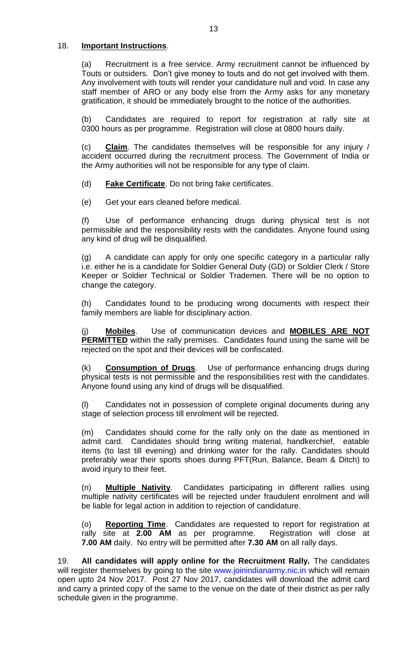### 18. **Important Instructions**.

(a) Recruitment is a free service. Army recruitment cannot be influenced by Touts or outsiders. Don't give money to touts and do not get involved with them. Any involvement with touts will render your candidature null and void. In case any staff member of ARO or any body else from the Army asks for any monetary gratification, it should be immediately brought to the notice of the authorities.

(b) Candidates are required to report for registration at rally site at 0300 hours as per programme. Registration will close at 0800 hours daily.

(c) **Claim**. The candidates themselves will be responsible for any injury / accident occurred during the recruitment process. The Government of India or the Army authorities will not be responsible for any type of claim.

(d) **Fake Certificate**. Do not bring fake certificates.

(e) Get your ears cleaned before medical.

(f) Use of performance enhancing drugs during physical test is not permissible and the responsibility rests with the candidates. Anyone found using any kind of drug will be disqualified.

(g) A candidate can apply for only one specific category in a particular rally i.e. either he is a candidate for Soldier General Duty (GD) or Soldier Clerk / Store Keeper or Soldier Technical or Soldier Trademen. There will be no option to change the category.

(h) Candidates found to be producing wrong documents with respect their family members are liable for disciplinary action.

(j) **Mobiles**. Use of communication devices and **MOBILES ARE NOT PERMITTED** within the rally premises. Candidates found using the same will be rejected on the spot and their devices will be confiscated.

(k) **Consumption of Drugs**. Use of performance enhancing drugs during physical tests is not permissible and the responsibilities rest with the candidates. Anyone found using any kind of drugs will be disqualified.

(l) Candidates not in possession of complete original documents during any stage of selection process till enrolment will be rejected.

(m) Candidates should come for the rally only on the date as mentioned in admit card. Candidates should bring writing material, handkerchief, eatable items (to last till evening) and drinking water for the rally. Candidates should preferably wear their sports shoes during PFT(Run, Balance, Beam & Ditch) to avoid injury to their feet.

(n) **Multiple Nativity**. Candidates participating in different rallies using multiple nativity certificates will be rejected under fraudulent enrolment and will be liable for legal action in addition to rejection of candidature.

(o) **Reporting Time**. Candidates are requested to report for registration at rally site at **2.00 AM** as per programme. Registration will close at **7.00 AM** daily. No entry will be permitted after **7.30 AM** on all rally days.

19. **All candidates will apply online for the Recruitment Rally.** The candidates will register themselves by going to the site www.joinindianarmy.nic.in which will remain open upto 24 Nov 2017. Post 27 Nov 2017, candidates will download the admit card and carry a printed copy of the same to the venue on the date of their district as per rally schedule given in the programme.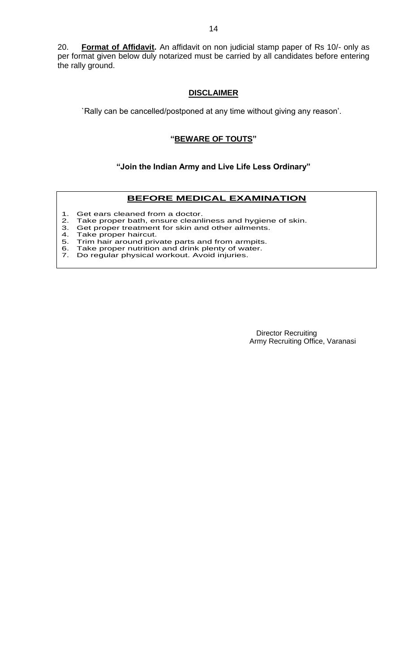20. **Format of Affidavit.** An affidavit on non judicial stamp paper of Rs 10/- only as per format given below duly notarized must be carried by all candidates before entering the rally ground.

#### **DISCLAIMER**

`Rally can be cancelled/postponed at any time without giving any reason'.

### **"BEWARE OF TOUTS"**

#### **"Join the Indian Army and Live Life Less Ordinary"**

#### **BEFORE MEDICAL EXAMINATION**

- 1. Get ears cleaned from a doctor.<br>2. Take proper bath, ensure cleanl<br>3. Get proper treatment for skin an
- Take proper bath, ensure cleanliness and hygiene of skin.
- 3. Get proper treatment for skin and other ailments.
- 4. Take proper haircut.
- 5. Trim hair around private parts and from armpits.
- 6. Take proper nutrition and drink plenty of water. 6. Take proper nutrition and drink plenty of wa<br>7. Do regular physical workout. Avoid injuries.
- 

 Director Recruiting Army Recruiting Office, Varanasi